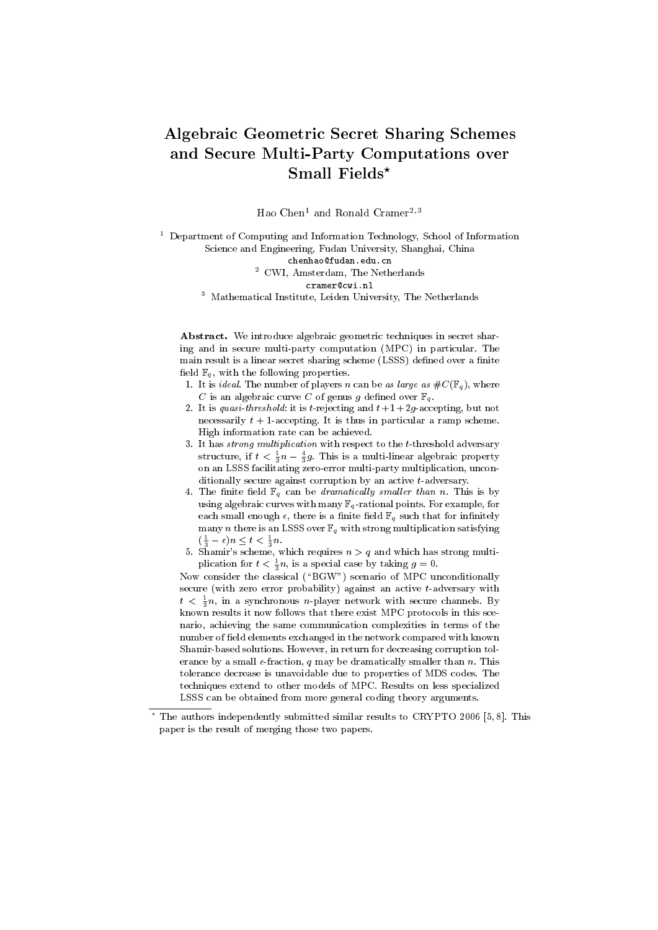# Algebraic Geometric Secret Sharing Schemes and Secure Multi-Party Computations over Small Fields\*

Hao Chen<sup>1</sup> and Ronald Cramer<sup>2,3</sup>

<sup>1</sup> Department of Computing and Information Technology, School of Information Science and Engineering, Fudan University, Shanghai, China

chenhao@fudan.edu.cn

<sup>2</sup> CWI, Amsterdam, The Netherlands

cramer@cwi.nl

<sup>3</sup> Mathematical Institute, Leiden University, The Netherlands

Abstract. We introduce algebraic geometric techniques in secret sharing and in secure multi-party computation (MPC) in particular. The main result is a linear secret sharing scheme (LSSS) defined over a finite field  $\mathbb{F}_q$ , with the following properties.

- 1. It is *ideal*. The number of players n can be as large as  $\#C(\mathbb{F}_q)$ , where C is an algebraic curve C of genus g defined over  $\mathbb{F}_q$ .
- 2. It is quasi-threshold: it is t-rejecting and  $t + 1 + 2g$ -accepting, but not necessarily  $t + 1$ -accepting. It is thus in particular a ramp scheme. High information rate can be achieved.
- 3. It has  $strong\ multiplication$  with respect to the  $t\text{-}threshold$  adversary structure, if  $t < \frac{1}{3}n - \frac{4}{3}g$ . This is a multi-linear algebraic property on an LSSS facilitating zero-error multi-party multiplication, unconditionally secure against corruption by an active t-adversary.
- 4. The finite field  $\mathbb{F}_q$  can be *dramatically smaller than n*. This is by using algebraic curves with many  $\mathbb{F}_q$ -rational points. For example, for each small enough  $\epsilon$ , there is a finite field  $\mathbb{F}_q$  such that for infinitely many *n* there is an LSSS over  $\mathbb{F}_q$  with strong multiplication satisfying  $\left(\frac{1}{3} - \epsilon\right)n \leq t < \frac{1}{3}n.$
- 5. Shamir's scheme, which requires  $n > q$  and which has strong multiplication for  $t < \frac{1}{3}n$ , is a special case by taking  $g = 0$ .

Now consider the classical ( $\mathrm{``BGW''}$ ) scenario of MPC unconditionally secure (with zero error probability) against an active t-adversary with  $t < \frac{1}{3}n$ , in a synchronous *n*-player network with secure channels. By known results it now follows that there exist MPC protocols in this scenario, achieving the same communication complexities in terms of the number of field elements exchanged in the network compared with known Shamir-based solutions. However, in return for decreasing corruption tolerance by a small  $\epsilon$ -fraction, q may be dramatically smaller than n. This tolerance decrease is unavoidable due to properties of MDS codes. The techniques extend to other models of MPC. Results on less specialized LSSS can be obtained from more general coding theory arguments.

The authors independently submitted similar results to CRYPTO 2006 [5, 8]. This paper is the result of merging those two papers.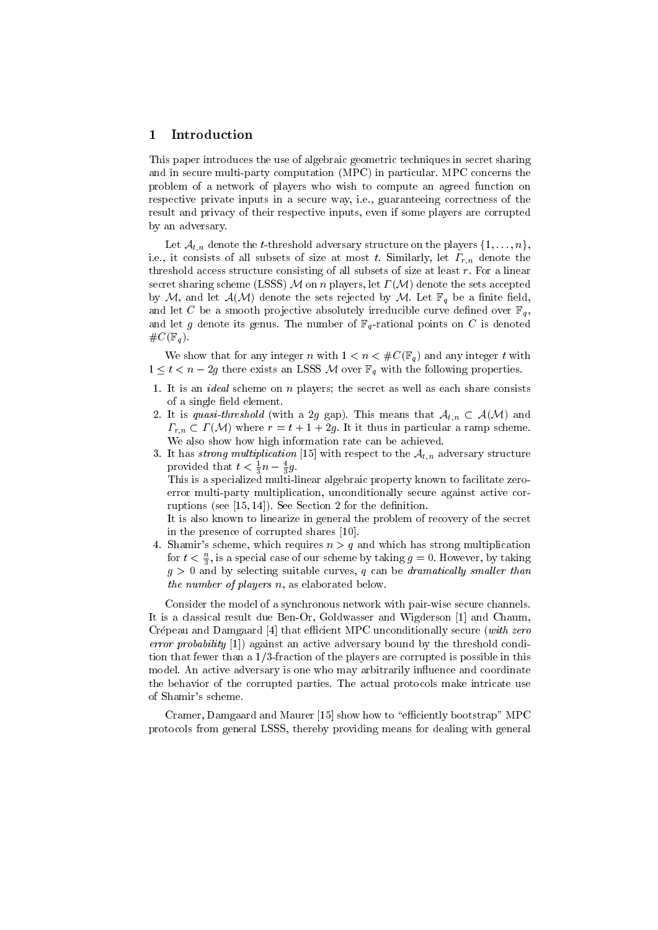### 1 Introduction

This paper introduces the use of algebraic geometric techniques in secret sharing and in secure multi-party computation (MPC) in particular. MPC concerns the problem of a network of players who wish to compute an agreed function on respective private inputs in a secure way, i.e., guaranteeing correctness of the result and privacy of their respective inputs, even if some players are corrupted by an adversary.

Let  $\mathcal{A}_{t,n}$  denote the t-threshold adversary structure on the players  $\{1,\ldots,n\}$ , i.e., it consists of all subsets of size at most t. Similarly, let  $\Gamma_{r,n}$  denote the threshold access structure consisting of all subsets of size at least  $r$ . For a linear secret sharing scheme (LSSS)  $\mathcal M$  on n players, let  $\Gamma(\mathcal M)$  denote the sets accepted by M, and let  $\mathcal{A}(\mathcal{M})$  denote the sets rejected by M. Let  $\mathbb{F}_q$  be a finite field, and let C be a smooth projective absolutely irreducible curve defined over  $\mathbb{F}_q$ , and let g denote its genus. The number of  $\mathbb{F}_q$ -rational points on C is denoted  $\#C(\mathbb{F}_q)$ .

We show that for any integer n with  $1 < n < #C(\mathbb{F}_q)$  and any integer t with  $1 \leq t < n-2g$  there exists an LSSS M over  $\mathbb{F}_q$  with the following properties.

- 1. It is an ideal scheme on n players; the secret as well as each share consists of a single field element.
- 2. It is quasi-threshold (with a 2g gap). This means that  $A_{t,n} \subset A(\mathcal{M})$  and  $\Gamma_{r,n} \subset \Gamma(\mathcal{M})$  where  $r = t + 1 + 2g$ . It it thus in particular a ramp scheme. We also show how high information rate can be achieved.

3. It has strong multiplication [15] with respect to the  $A_{t,n}$  adversary structure provided that  $t < \frac{1}{3}n - \frac{4}{3}g$ . This is a specialized multi-linear algebraic property known to facilitate zeroerror multi-party multiplication, unconditionally secure against active corruptions (see  $[15, 14]$ ). See Section 2 for the definition.

It is also known to linearize in general the problem of recovery of the secret in the presence of corrupted shares [10].

4. Shamir's scheme, which requires  $n > q$  and which has strong multiplication for  $t < \frac{n}{3}$ , is a special case of our scheme by taking  $g = 0$ . However, by taking  $g > 0$  and by selecting suitable curves, q can be *dramatically smaller than* the number of players n, as elaborated below.

Consider the model of a synchronous network with pair-wise secure channels. It is a classical result due Ben-Or, Goldwasser and Wigderson [1] and Chaum, Crépeau and Damgaard [4] that efficient MPC unconditionally secure (with zero error probability [1]) against an active adversary bound by the threshold condition that fewer than a 1/3-fraction of the players are corrupted is possible in this model. An active adversary is one who may arbitrarily in
uence and coordinate the behavior of the corrupted parties. The actual protocols make intricate use of Shamir's scheme.

Cramer, Damgaard and Maurer [15] show how to "efficiently bootstrap" MPC protocols from general LSSS, thereby providing means for dealing with general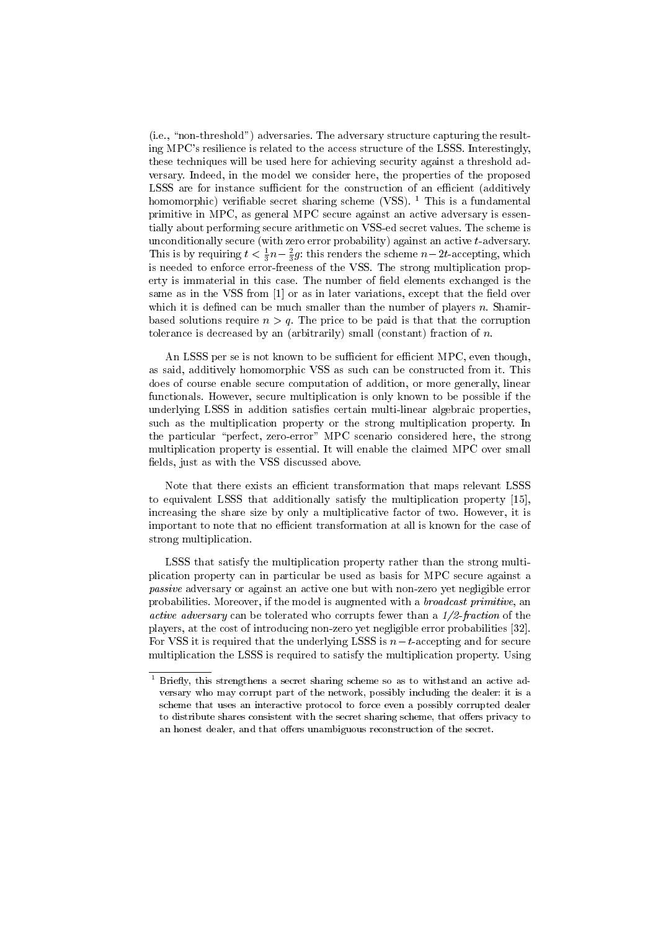(i.e., "non-threshold") adversaries. The adversary structure capturing the resulting MPC's resilience is related to the access structure of the LSSS. Interestingly, these techniques will be used here for achieving security against a threshold adversary. Indeed, in the model we consider here, the properties of the proposed LSSS are for instance sufficient for the construction of an efficient (additively homomorphic) verifiable secret sharing scheme (VSS).  $\frac{1}{1}$  This is a fundamental primitive in MPC, as general MPC secure against an active adversary is essentially about performing secure arithmetic on VSS-ed secret values. The scheme is unconditionally secure (with zero error probability) against an active t-adversary. This is by requiring  $t < \frac{1}{3}n - \frac{2}{3}g$ : this renders the scheme  $n-2t$ -accepting, which is needed to enforce error-freeness of the VSS. The strong multiplication property is immaterial in this case. The number of field elements exchanged is the same as in the VSS from  $[1]$  or as in later variations, except that the field over which it is defined can be much smaller than the number of players  $n$ . Shamirbased solutions require  $n > q$ . The price to be paid is that that the corruption tolerance is decreased by an (arbitrarily) small (constant) fraction of  $n$ .

An LSSS per se is not known to be sufficient for efficient MPC, even though, as said, additively homomorphic VSS as such can be constructed from it. This does of course enable secure computation of addition, or more generally, linear functionals. However, secure multiplication is only known to be possible if the underlying LSSS in addition satises certain multi-linear algebraic properties, such as the multiplication property or the strong multiplication property. In the particular \perfect, zero-error" MPC scenario considered here, the strong multiplication property is essential. It will enable the claimed MPC over small fields, just as with the VSS discussed above.

Note that there exists an efficient transformation that maps relevant LSSS to equivalent LSSS that additionally satisfy the multiplication property [15], increasing the share size by only a multiplicative factor of two. However, it is important to note that no efficient transformation at all is known for the case of strong multiplication.

LSSS that satisfy the multiplication property rather than the strong multiplication property can in particular be used as basis for MPC secure against a passive adversary or against an active one but with non-zero yet negligible error probabilities. Moreover, if the model is augmented with a broadcast primitive, an active adversary can be tolerated who corrupts fewer than a  $1/2$ -fraction of the players, at the cost of introducing non-zero yet negligible error probabilities [32]. For VSS it is required that the underlying LSSS is  $n-t$ -accepting and for secure multiplication the LSSS is required to satisfy the multiplication property. Using

 $1$  Briefly, this strengthens a secret sharing scheme so as to withstand an active adversary who may corrupt part of the network, possibly including the dealer: it is a scheme that uses an interactive protocol to force even a possibly corrupted dealer to distribute shares consistent with the secret sharing scheme, that offers privacy to an honest dealer, and that offers unambiguous reconstruction of the secret.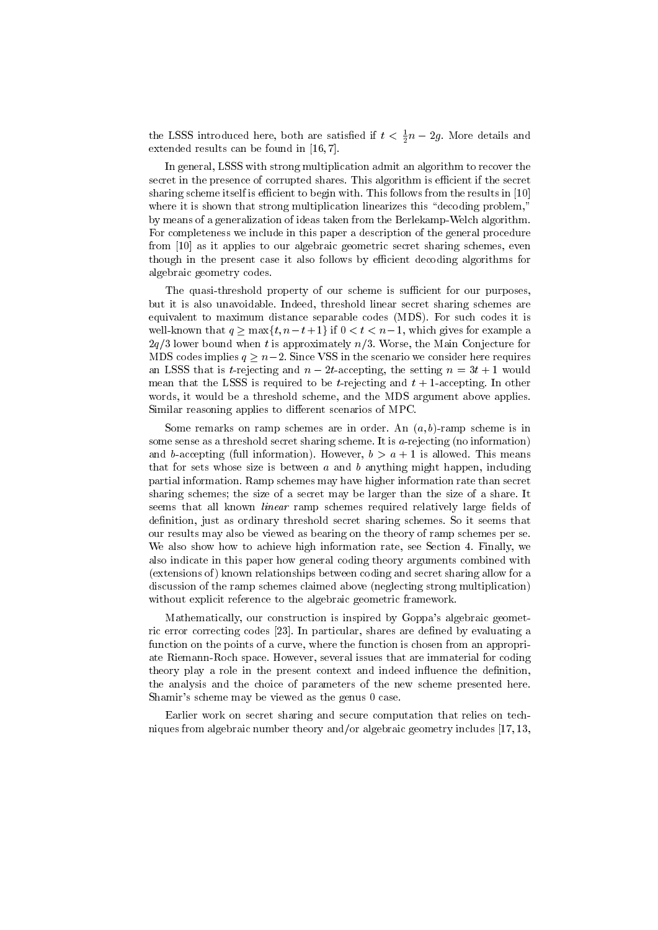the LSSS introduced here, both are satisfied if  $t < \frac{1}{2}n - 2g$ . More details and extended results can be found in [16, 7].

In general, LSSS with strong multiplication admit an algorithm to recover the secret in the presence of corrupted shares. This algorithm is efficient if the secret sharing scheme itself is efficient to begin with. This follows from the results in [10] where it is shown that strong multiplication linearizes this "decoding problem," by means of a generalization of ideas taken from the Berlekamp-Welch algorithm. For completeness we include in this paper a description of the general procedure from [10] as it applies to our algebraic geometric secret sharing schemes, even though in the present case it also follows by efficient decoding algorithms for algebraic geometry codes.

The quasi-threshold property of our scheme is sufficient for our purposes, but it is also unavoidable. Indeed, threshold linear secret sharing schemes are equivalent to maximum distance separable codes (MDS). For such codes it is well-known that  $q \ge \max\{t, n - t + 1\}$  if  $0 < t < n - 1$ , which gives for example a  $2q/3$  lower bound when t is approximately  $n/3$ . Worse, the Main Conjecture for MDS codes implies  $q > n-2$ . Since VSS in the scenario we consider here requires an LSSS that is t-rejecting and  $n - 2t$ -accepting, the setting  $n = 3t + 1$  would mean that the LSSS is required to be *t*-rejecting and  $t + 1$ -accepting. In other words, it would be a threshold scheme, and the MDS argument above applies. Similar reasoning applies to different scenarios of MPC.

Some remarks on ramp schemes are in order. An  $(a, b)$ -ramp scheme is in some sense as a threshold secret sharing scheme. It is a-rejecting (no information) and b-accepting (full information). However,  $b > a + 1$  is allowed. This means that for sets whose size is between  $a$  and  $b$  anything might happen, including partial information. Ramp schemes may have higher information rate than secret sharing schemes; the size of a secret may be larger than the size of a share. It seems that all known *linear* ramp schemes required relatively large fields of definition, just as ordinary threshold secret sharing schemes. So it seems that our results may also be viewed as bearing on the theory of ramp schemes per se. We also show how to achieve high information rate, see Section 4. Finally, we also indicate in this paper how general coding theory arguments combined with (extensions of) known relationships between coding and secret sharing allow for a discussion of the ramp schemes claimed above (neglecting strong multiplication) without explicit reference to the algebraic geometric framework.

Mathematically, our construction is inspired by Goppa's algebraic geometric error correcting codes [23]. In particular, shares are dened by evaluating a function on the points of a curve, where the function is chosen from an appropriate Riemann-Roch space. However, several issues that are immaterial for coding theory play a role in the present context and indeed influence the definition, the analysis and the choice of parameters of the new scheme presented here. Shamir's scheme may be viewed as the genus 0 case.

Earlier work on secret sharing and secure computation that relies on techniques from algebraic number theory and/or algebraic geometry includes [17, 13,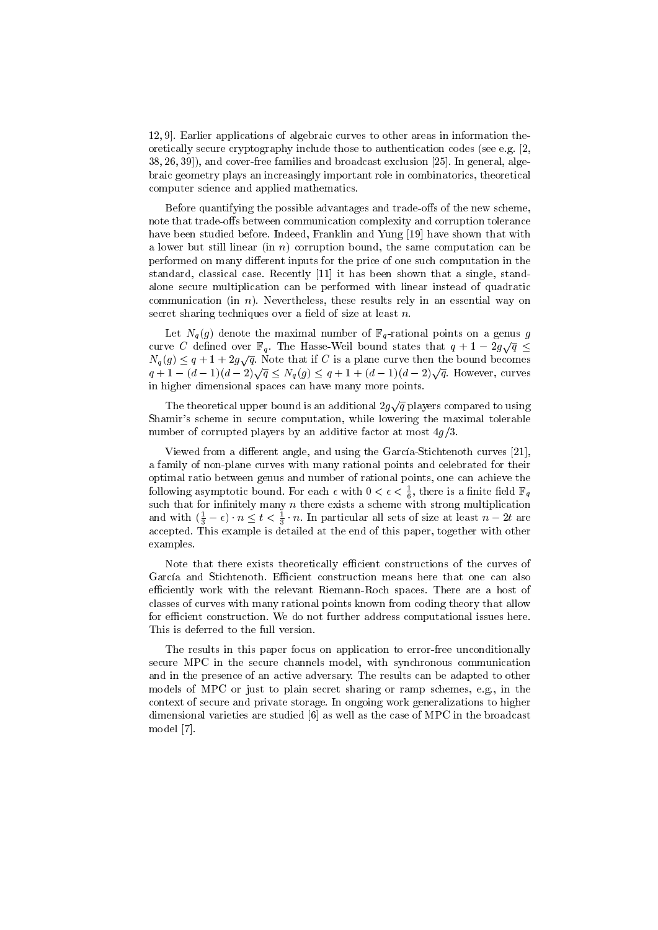12, 9]. Earlier applications of algebraic curves to other areas in information theoretically secure cryptography include those to authentication codes (see e.g.  $[2,$ 38, 26, 39]), and cover-free families and broadcast exclusion [25]. In general, algebraic geometry plays an increasingly important role in combinatorics, theoretical computer science and applied mathematics.

Before quantifying the possible advantages and trade-offs of the new scheme. note that trade-offs between communication complexity and corruption tolerance have been studied before. Indeed, Franklin and Yung [19] have shown that with a lower but still linear (in  $n$ ) corruption bound, the same computation can be performed on many different inputs for the price of one such computation in the standard, classical case. Recently [11] it has been shown that a single, standalone secure multiplication can be performed with linear instead of quadratic communication (in  $n$ ). Nevertheless, these results rely in an essential way on secret sharing techniques over a field of size at least  $n$ .

Let  $N_q(g)$  denote the maximal number of  $\mathbb{F}_q$ -rational points on a genus g curve C defined over  $\mathbb{F}_q$ . The Hasse-Weil bound states that  $q + 1 - 2g\sqrt{q} \le$  $N_q(g) \leq q+1+2g\sqrt{q}$ . Note that if C is a plane curve then the bound becomes  $q + 1 - (d - 1)(d - 2)\sqrt{q} \le N_q(g) \le q + 1 + (d - 1)(d - 2)\sqrt{q}$ . However, curves in higher dimensional spaces can have many more points.

The theoretical upper bound is an additional  $2g\sqrt{q}$  players compared to using Shamir's scheme in secure computation, while lowering the maximal tolerable number of corrupted players by an additive factor at most  $4g/3$ .

Viewed from a different angle, and using the García-Stichtenoth curves [21]. a family of non-plane curves with many rational points and celebrated for their optimal ratio between genus and number of rational points, one can achieve the following asymptotic bound. For each  $\epsilon$  with  $0 < \epsilon < \frac{1}{6}$ , there is a finite field  $\mathbb{F}_q$ such that for infinitely many  $n$  there exists a scheme with strong multiplication and with  $(\frac{1}{3} - \epsilon) \cdot n \leq t < \frac{1}{3} \cdot n$ . In particular all sets of size at least  $n - 2t$  are accepted. This example is detailed at the end of this paper, together with other examples.

Note that there exists theoretically efficient constructions of the curves of García and Stichtenoth. Efficient construction means here that one can also efficiently work with the relevant Riemann-Roch spaces. There are a host of classes of curves with many rational points known from coding theory that allow for efficient construction. We do not further address computational issues here. This is deferred to the full version.

The results in this paper focus on application to error-free unconditionally secure MPC in the secure channels model, with synchronous communication and in the presence of an active adversary. The results can be adapted to other models of MPC or just to plain secret sharing or ramp schemes, e.g., in the context of secure and private storage. In ongoing work generalizations to higher dimensional varieties are studied [6] as well as the case of MPC in the broadcast model [7].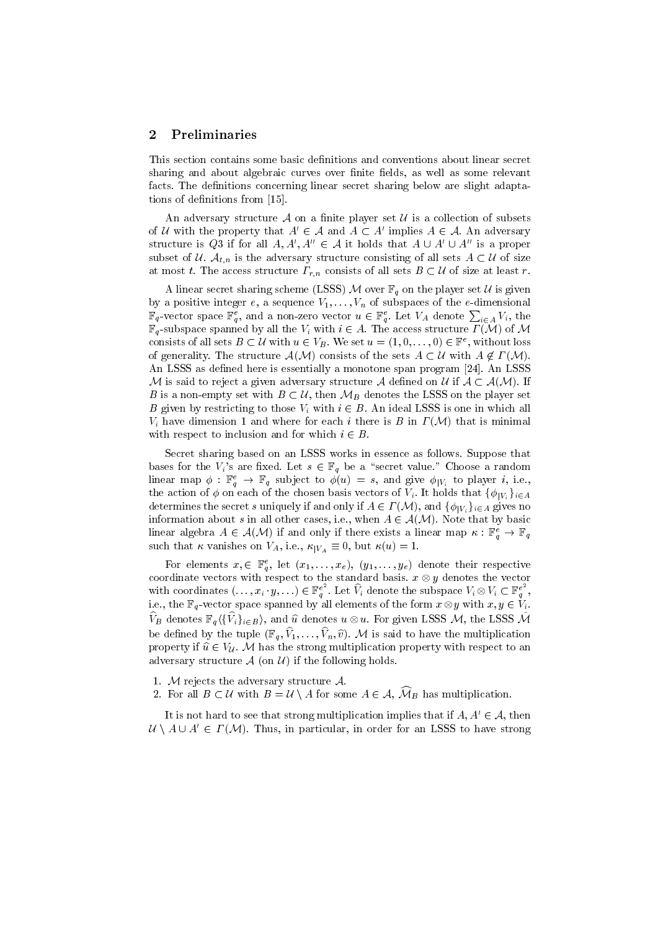### 2 Preliminaries

This section contains some basic definitions and conventions about linear secret sharing and about algebraic curves over finite fields, as well as some relevant facts. The definitions concerning linear secret sharing below are slight adaptations of definitions from [15].

An adversary structure  $A$  on a finite player set  $U$  is a collection of subsets of U with the property that  $A' \in \mathcal{A}$  and  $A \subset A'$  implies  $A \in \mathcal{A}$ . An adversary structure is Q3 if for all  $A, A', A'' \in \mathcal{A}$  it holds that  $A \cup A' \cup A''$  is a proper subset of U.  $A_{t,n}$  is the adversary structure consisting of all sets  $A \subset U$  of size at most t. The access structure  $\Gamma_{r,n}$  consists of all sets  $B \subset \mathcal{U}$  of size at least r.

A linear secret sharing scheme (LSSS) M over  $\mathbb{F}_q$  on the player set U is given by a positive integer  $e$ , a sequence  $V_1, \ldots, V_n$  of subspaces of the *e*-dimensional  $\mathbb{F}_q$ -vector space  $\mathbb{F}_q^e$ , and a non-zero vector  $u \in \mathbb{F}_q^e$ . Let  $V_A$  denote  $\sum_{i \in A} V_i$ , the  $\mathbb{F}_q$ -subspace spanned by all the  $V_i$  with  $i \in A$ . The access structure  $\Gamma(\mathcal{M})$  of M consists of all sets  $B \subset \mathcal{U}$  with  $u \in V_B$ . We set  $u = (1, 0, \ldots, 0) \in \mathbb{F}^e$ , without loss of generality. The structure  $\mathcal{A}(\mathcal{M})$  consists of the sets  $A \subset \mathcal{U}$  with  $A \notin \Gamma(\mathcal{M})$ . An LSSS as defined here is essentially a monotone span program [24]. An LSSS M is said to reject a given adversary structure A defined on U if  $A \subset A(\mathcal{M})$ . If B is a non-empty set with  $B \subset \mathcal{U}$ , then  $\mathcal{M}_B$  denotes the LSSS on the player set B given by restricting to those  $V_i$  with  $i \in B$ . An ideal LSSS is one in which all  $V_i$  have dimension 1 and where for each i there is B in  $\Gamma(\mathcal{M})$  that is minimal with respect to inclusion and for which  $i \in B$ .

Secret sharing based on an LSSS works in essence as follows. Suppose that bases for the  $V_i$ 's are fixed. Let  $s \in \mathbb{F}_q$  be a "secret value." Choose a random linear map  $\phi : \mathbb{F}_q^e \to \mathbb{F}_q$  subject to  $\phi(u) = s$ , and give  $\phi|_{V_i}$  to player *i*, i.e., the action of  $\phi$  on each of the chosen basis vectors of  $V_i$ . It holds that  $\{\phi|_{V_i}\}_{i\in A}$ determines the secret s uniquely if and only if  $A \in \Gamma(\mathcal{M})$ , and  $\{\phi_{|V_i}\}_{i \in A}$  gives no information about s in all other cases, i.e., when  $A \in \mathcal{A}(\mathcal{M})$ . Note that by basic linear algebra  $A \in \mathcal{A}(\mathcal{M})$  if and only if there exists a linear map  $\kappa : \mathbb{F}_q^e \to \mathbb{F}_q$ such that  $\kappa$  vanishes on  $V_A$ , i.e.,  $\kappa_{|V_A} \equiv 0$ , but  $\kappa(u) = 1$ .

For elements  $x, \in \mathbb{F}_q^e$ , let  $(x_1, \ldots, x_e)$ ,  $(y_1, \ldots, y_e)$  denote their respective coordinate vectors with respect to the standard basis.  $x \otimes y$  denotes the vector with coordinates  $(\ldots, x_i \cdot y, \ldots) \in \mathbb{F}_q^{e^2}$  $\mathbb{F}_q^{e^2}$ . Let  $\widehat{V}_i$  denote the subspace  $V_i \otimes V_i \subset \mathbb{F}_q^{e^2}$  $_q^e$  , i.e., the  $\mathbb{F}_q$ -vector space spanned by all elements of the form  $x \otimes y$  with  $x, y \in V_i$ .  $\widehat{V}_B$  denotes  $\mathbb{F}_q\langle \{\widehat{V}_i\}_{i\in B} \rangle$ , and  $\widehat{\alpha}$  denotes  $u \otimes u$ . For given LSSS  $\mathcal{M}$ , the LSSS  $\widehat{\mathcal{M}}$ be defined by the tuple  $(\mathbb{F}_q, \hat{V}_1, \ldots, \hat{V}_n, \hat{v})$ . M is said to have the multiplication property if  $\hat{u} \in V_{\mathcal{U}}$ . M has the strong multiplication property with respect to an adversary structure  $\mathcal A$  (on  $\mathcal U$ ) if the following holds.

1. M rejects the adversary structure  $A$ .

2. For all  $B \subset \mathcal{U}$  with  $B = \mathcal{U} \setminus A$  for some  $A \in \mathcal{A}$ ,  $\widehat{\mathcal{M}}_B$  has multiplication.

It is not hard to see that strong multiplication implies that if  $A, A' \in \mathcal{A}$ , then  $U \setminus A \cup A' \in \Gamma(\mathcal{M})$ . Thus, in particular, in order for an LSSS to have strong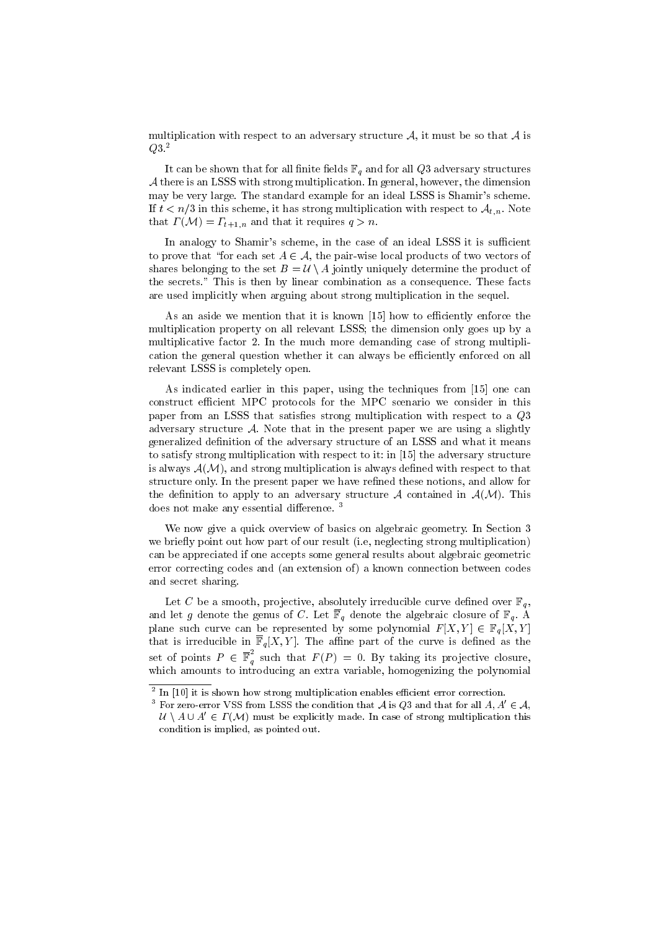multiplication with respect to an adversary structure  $A$ , it must be so that  $A$  is  $Q3.2$ 

It can be shown that for all finite fields  $\mathbb{F}_q$  and for all Q3 adversary structures A there is an LSSS with strong multiplication. In general, however, the dimension may be very large. The standard example for an ideal LSSS is Shamir's scheme. If  $t < n/3$  in this scheme, it has strong multiplication with respect to  $A_{t,n}$ . Note that  $\Gamma(\mathcal{M}) = \Gamma_{t+1,n}$  and that it requires  $q > n$ .

In analogy to Shamir's scheme, in the case of an ideal LSSS it is sufficient to prove that "for each set  $A \in \mathcal{A}$ , the pair-wise local products of two vectors of shares belonging to the set  $B = \mathcal{U} \setminus A$  jointly uniquely determine the product of the secrets." This is then by linear combination as a consequence. These facts are used implicitly when arguing about strong multiplication in the sequel.

As an aside we mention that it is known  $[15]$  how to efficiently enforce the multiplication property on all relevant LSSS; the dimension only goes up by a multiplicative factor 2. In the much more demanding case of strong multiplication the general question whether it can always be efficiently enforced on all relevant LSSS is completely open.

As indicated earlier in this paper, using the techniques from [15] one can construct efficient MPC protocols for the MPC scenario we consider in this paper from an LSSS that satisfies strong multiplication with respect to a  $Q3$ adversary structure  $A$ . Note that in the present paper we are using a slightly generalized definition of the adversary structure of an LSSS and what it means to satisfy strong multiplication with respect to it: in [15] the adversary structure is always  $\mathcal{A}(\mathcal{M})$ , and strong multiplication is always defined with respect to that structure only. In the present paper we have refined these notions, and allow for the definition to apply to an adversary structure A contained in  $\mathcal{A}(\mathcal{M})$ . This does not make any essential difference.<sup>3</sup>

We now give a quick overview of basics on algebraic geometry. In Section 3 we briefly point out how part of our result (i.e, neglecting strong multiplication) can be appreciated if one accepts some general results about algebraic geometric error correcting codes and (an extension of) a known connection between codes and secret sharing.

Let C be a smooth, projective, absolutely irreducible curve defined over  $\mathbb{F}_q$ , and let g denote the genus of C. Let  $\overline{\mathbb{F}}_q$  denote the algebraic closure of  $\mathbb{F}_q$ . A plane such curve can be represented by some polynomial  $F[X, Y] \in \mathbb{F}_q[X, Y]$ that is irreducible in  $\overline{\mathbb{F}}_q[X, Y]$ . The affine part of the curve is defined as the set of points  $P \in \overline{\mathbb{F}}_q^2$ q such that  $F(P) = 0$ . By taking its projective closure, which amounts to introducing an extra variable, homogenizing the polynomial

 $2$  In [10] it is shown how strong multiplication enables efficient error correction.

<sup>&</sup>lt;sup>3</sup> For zero-error VSS from LSSS the condition that A is Q3 and that for all  $A, A' \in \mathcal{A}$ ,  $U \setminus A \cup A' \in \Gamma(\mathcal{M})$  must be explicitly made. In case of strong multiplication this condition is implied, as pointed out.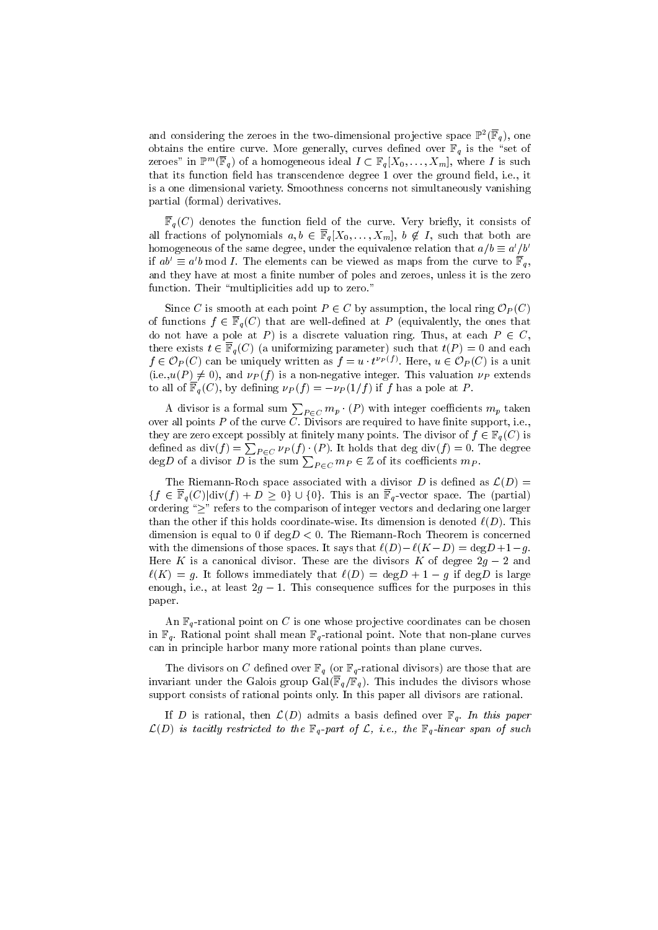and considering the zeroes in the two-dimensional projective space  $\mathbb{P}^2(\overline{\mathbb{F}}_q)$ , one obtains the entire curve. More generally, curves defined over  $\mathbb{F}_q$  is the "set of zeroes" in  $\mathbb{P}^m(\overline{\mathbb{F}}_q)$  of a homogeneous ideal  $I\subset \mathbb{F}_q[X_0,\ldots,X_m],$  where  $I$  is such that its function field has transcendence degree 1 over the ground field, i.e., it is a one dimensional variety. Smoothness concerns not simultaneously vanishing partial (formal) derivatives.

 $\overline{\mathbb{F}}_q(C)$  denotes the function field of the curve. Very briefly, it consists of all fractions of polynomials  $a, b \in \overline{\mathbb{F}}_q[X_0, \ldots, X_m], b \notin I$ , such that both are homogeneous of the same degree, under the equivalence relation that  $a/b \equiv a'/b'$ if  $ab' \equiv a'b \bmod I$ . The elements can be viewed as maps from the curve to  $\mathbb{F}_q$ , and they have at most a finite number of poles and zeroes, unless it is the zero function. Their "multiplicities add up to zero."

Since C is smooth at each point  $P \in C$  by assumption, the local ring  $\mathcal{O}_P(C)$ of functions  $f \in \overline{\mathbb{F}}_q(C)$  that are well-defined at P (equivalently, the ones that do not have a pole at P) is a discrete valuation ring. Thus, at each  $P \in C$ , there exists  $t \in \overline{\mathbb{F}}_q(C)$  (a uniformizing parameter) such that  $t(P) = 0$  and each  $f \in \mathcal{O}_P(C)$  can be uniquely written as  $f = u \cdot t^{\nu_P(f)}$ . Here,  $u \in \mathcal{O}_P(C)$  is a unit  $(i.e.,u(P) \neq 0)$ , and  $\nu_P (f)$  is a non-negative integer. This valuation  $\nu_P$  extends to all of  $\overline{\mathbb{F}}_q(C)$ , by defining  $\nu_P(f) = -\nu_P (1/f)$  if f has a pole at P.

A divisor is a formal sum  $\sum_{P \in C} m_p \cdot (P)$  with integer coefficients  $m_p$  taken over all points P of the curve C. Divisors are required to have finite support, i.e., they are zero except possibly at finitely many points. The divisor of  $f \in \mathbb{F}_q(C)$  is defined as  $\text{div}(f) = \sum_{P \in C} \nu_P(f) \cdot (P)$ . It holds that deg  $\text{div}(f) = 0$ . The degree degD of a divisor D is the sum  $\sum_{P \in C} m_P \in \mathbb{Z}$  of its coefficients  $m_P$ .

The Riemann-Roch space associated with a divisor D is defined as  $\mathcal{L}(D)$  =  ${f \in \overline{\mathbb{F}}_q(C)|div(f) + D \geq 0}$   $\cup$  {0}. This is an  $\overline{\mathbb{F}}_q$ -vector space. The (partial) ordering " $\geq$ " refers to the comparison of integer vectors and declaring one larger than the other if this holds coordinate-wise. Its dimension is denoted  $\ell(D)$ . This dimension is equal to 0 if deg $D < 0$ . The Riemann-Roch Theorem is concerned with the dimensions of those spaces. It says that  $\ell(D)-\ell(K-D) = \text{deg}D+1-g$ . Here K is a canonical divisor. These are the divisors K of degree  $2g - 2$  and  $\ell(K) = g$ . It follows immediately that  $\ell(D) = \text{deg}D + 1 - g$  if  $\text{deg}D$  is large enough, i.e., at least  $2g - 1$ . This consequence suffices for the purposes in this paper.

An  $\mathbb{F}_q$ -rational point on C is one whose projective coordinates can be chosen in  $\mathbb{F}_q$ . Rational point shall mean  $\mathbb{F}_q$ -rational point. Note that non-plane curves can in principle harbor many more rational points than plane curves.

The divisors on C defined over  $\mathbb{F}_q$  (or  $\mathbb{F}_q$ -rational divisors) are those that are invariant under the Galois group  $Gal(\overline{\mathbb{F}}_q/\dot{\mathbb{F}}_q)$ . This includes the divisors whose support consists of rational points only. In this paper all divisors are rational.

If D is rational, then  $\mathcal{L}(D)$  admits a basis defined over  $\mathbb{F}_q$ . In this paper  $\mathcal{L}(D)$  is tacitly restricted to the  $\mathbb{F}_q$ -part of  $\mathcal{L}$ , i.e., the  $\mathbb{F}_q$ -linear span of such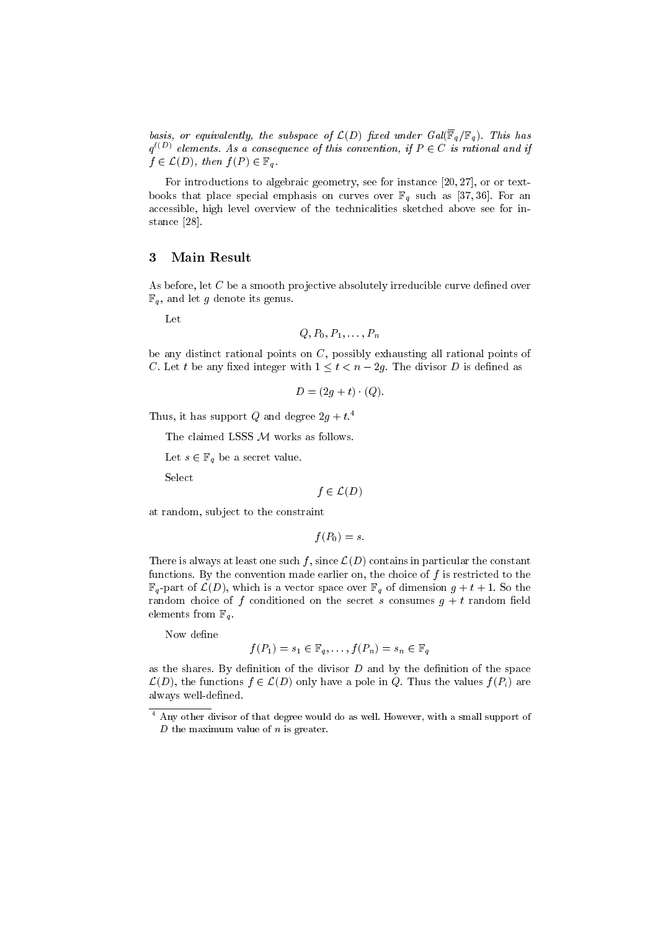basis, or equivalently, the subspace of  $\mathcal{L}(D)$  fixed under  $Gal(\overline{\mathbb{F}}_q/\mathbb{F}_q)$ . This has  $q^{\ell(D)}$  elements. As a consequence of this convention, if  $P \in C$  is rational and if  $f \in \mathcal{L}(D)$ , then  $f(P) \in \mathbb{F}_q$ .

For introductions to algebraic geometry, see for instance [20, 27], or or textbooks that place special emphasis on curves over  $\mathbb{F}_q$  such as [37,36]. For an accessible, high level overview of the technicalities sketched above see for instance [28].

#### 3 Main Result

As before, let  $C$  be a smooth projective absolutely irreducible curve defined over  $\mathbb{F}_q$ , and let g denote its genus.

Let

$$
Q, P_0, P_1, \ldots, P_n
$$

be any distinct rational points on C, possibly exhausting all rational points of C. Let t be any fixed integer with  $1 \leq t < n-2g$ . The divisor D is defined as

$$
D = (2g + t) \cdot (Q).
$$

Thus, it has support Q and degree  $2g + t$ <sup>4</sup>

The claimed LSSS  $M$  works as follows.

Let  $s \in \mathbb{F}_q$  be a secret value.

Select

 $f \in \mathcal{L}(D)$ 

at random, subject to the constraint

$$
f(P_0)=s.
$$

There is always at least one such f, since  $\mathcal{L}(D)$  contains in particular the constant functions. By the convention made earlier on, the choice of  $f$  is restricted to the  $\mathbb{F}_q$ -part of  $\mathcal{L}(D)$ , which is a vector space over  $\mathbb{F}_q$  of dimension  $g + t + 1$ . So the random choice of f conditioned on the secret s consumes  $g + t$  random field elements from  $\mathbb{F}_q$ .

Now define

$$
f(P_1) = s_1 \in \mathbb{F}_q, \dots, f(P_n) = s_n \in \mathbb{F}_q
$$

as the shares. By definition of the divisor  $D$  and by the definition of the space  $\mathcal{L}(D)$ , the functions  $f \in \mathcal{L}(D)$  only have a pole in Q. Thus the values  $f(P_i)$  are always well-defined.

<sup>4</sup> Any other divisor of that degree would do as well. However, with a small support of  $D$  the maximum value of  $n$  is greater.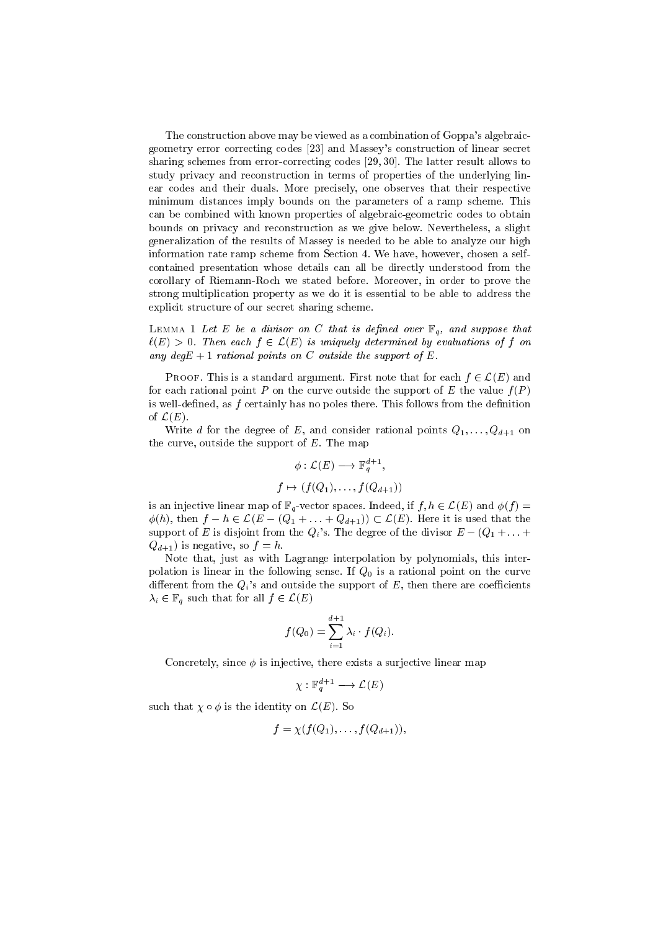The construction above may be viewed as a combination of Goppa's algebraicgeometry error correcting codes [23] and Massey's construction of linear secret sharing schemes from error-correcting codes [29, 30]. The latter result allows to study privacy and reconstruction in terms of properties of the underlying linear codes and their duals. More precisely, one observes that their respective minimum distances imply bounds on the parameters of a ramp scheme. This can be combined with known properties of algebraic-geometric codes to obtain bounds on privacy and reconstruction as we give below. Nevertheless, a slight generalization of the results of Massey is needed to be able to analyze our high information rate ramp scheme from Section 4. We have, however, chosen a selfcontained presentation whose details can all be directly understood from the corollary of Riemann-Roch we stated before. Moreover, in order to prove the strong multiplication property as we do it is essential to be able to address the explicit structure of our secret sharing scheme.

LEMMA 1 Let E be a divisor on C that is defined over  $\mathbb{F}_q$ , and suppose that  $\ell(E) > 0$ . Then each  $f \in \mathcal{L}(E)$  is uniquely determined by evaluations of f on any  $degE + 1$  rational points on C outside the support of E.

PROOF. This is a standard argument. First note that for each  $f \in \mathcal{L}(E)$  and for each rational point P on the curve outside the support of E the value  $f(P)$ is well-defined, as  $f$  certainly has no poles there. This follows from the definition of  $\mathcal{L}(E)$ .

Write d for the degree of E, and consider rational points  $Q_1, \ldots, Q_{d+1}$  on the curve, outside the support of  $E$ . The map

$$
\phi: \mathcal{L}(E) \longrightarrow \mathbb{F}_q^{d+1},
$$
  

$$
f \mapsto (f(Q_1), \dots, f(Q_{d+1}))
$$

is an injective linear map of  $\mathbb{F}_q$ -vector spaces. Indeed, if  $f, h \in \mathcal{L}(E)$  and  $\phi(f)$  =  $\phi(h)$ , then  $f - h \in \mathcal{L}(E - (Q_1 + \ldots + Q_{d+1})) \subset \mathcal{L}(E)$ . Here it is used that the support of  $E$  is disjoint from the  $Q_i$ 's. The degree of the divisor  $E$  –  $(Q_1 + \ldots +$  $Q_{d+1}$ ) is negative, so  $f = h$ .

Note that, just as with Lagrange interpolation by polynomials, this interpolation is linear in the following sense. If  $Q_0$  is a rational point on the curve different from the  $Q_i$ 's and outside the support of  $E,$  then there are coefficients  $\lambda_i \in \mathbb{F}_q$  such that for all  $f \in \mathcal{L}(E)$ 

$$
f(Q_0) = \sum_{i=1}^{d+1} \lambda_i \cdot f(Q_i).
$$

Concretely, since  $\phi$  is injective, there exists a surjective linear map

$$
\chi: \mathbb{F}_q^{d+1} \longrightarrow \mathcal{L}(E)
$$

such that  $\chi \circ \phi$  is the identity on  $\mathcal{L}(E)$ . So

$$
f=\chi(f(Q_1),\ldots,f(Q_{d+1})),
$$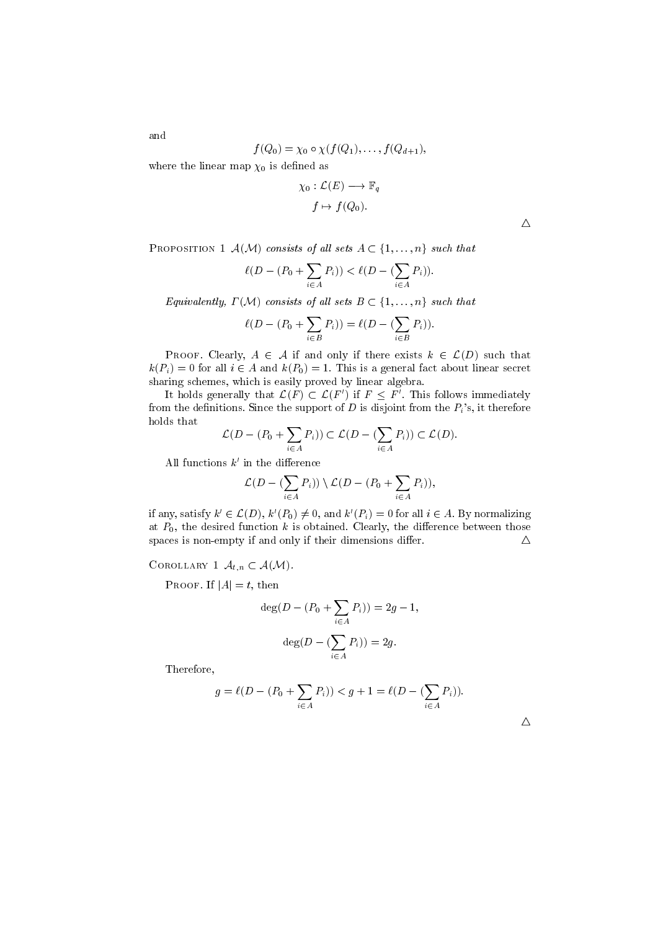and

$$
f(Q_0) = \chi_0 \circ \chi(f(Q_1), \ldots, f(Q_{d+1}),
$$

where the linear map  $\chi_0$  is defined as

$$
\chi_0: \mathcal{L}(E) \longrightarrow \mathbb{F}_q
$$

$$
f \mapsto f(Q_0).
$$

PROPOSITION 1  $\mathcal{A}(\mathcal{M})$  consists of all sets  $A \subset \{1, \ldots, n\}$  such that

$$
\ell(D - (P_0 + \sum_{i \in A} P_i)) < \ell(D - (\sum_{i \in A} P_i)).
$$

Equivalently,  $\Gamma(\mathcal{M})$  consists of all sets  $B \subset \{1, \ldots, n\}$  such that

$$
\ell(D - (P_0 + \sum_{i \in B} P_i)) = \ell(D - (\sum_{i \in B} P_i)).
$$

PROOF. Clearly,  $A \in \mathcal{A}$  if and only if there exists  $k \in \mathcal{L}(D)$  such that  $k(P_i) = 0$  for all  $i \in A$  and  $k(P_0) = 1$ . This is a general fact about linear secret sharing schemes, which is easily proved by linear algebra.

It holds generally that  $\mathcal{L}(F) \subset \mathcal{L}(F')$  if  $F \leq F'$ . This follows immediately from the definitions. Since the support of  $D$  is disjoint from the  $P_i$ 's, it therefore holds that

$$
\mathcal{L}(D-(P_0+\sum_{i\in A}P_i))\subset \mathcal{L}(D-(\sum_{i\in A}P_i))\subset \mathcal{L}(D).
$$

All functions  $k'$  in the difference

$$
\mathcal{L}(D - (\sum_{i \in A} P_i)) \setminus \mathcal{L}(D - (P_0 + \sum_{i \in A} P_i)),
$$

if any, satisfy  $k' \in \mathcal{L}(D), k'(P_0) \neq 0$ , and  $k'(P_i) = 0$  for all  $i \in A$ . By normalizing at  $P_0$ , the desired function k is obtained. Clearly, the difference between those<br>spaces is non-empty if and only if their dimensions differ. spaces is non-empty if and only if their dimensions differ.

COROLLARY 1  $\mathcal{A}_{t,n} \subset \mathcal{A}(\mathcal{M})$ .

PROOF. If  $|A|=t$ , then

$$
deg(D - (P_0 + \sum_{i \in A} P_i)) = 2g - 1,
$$
  

$$
deg(D - (\sum_{i \in A} P_i)) = 2g.
$$

Therefore,

$$
g = \ell(D - (P_0 + \sum_{i \in A} P_i)) < g + 1 = \ell(D - (\sum_{i \in A} P_i)).
$$

 $\triangle$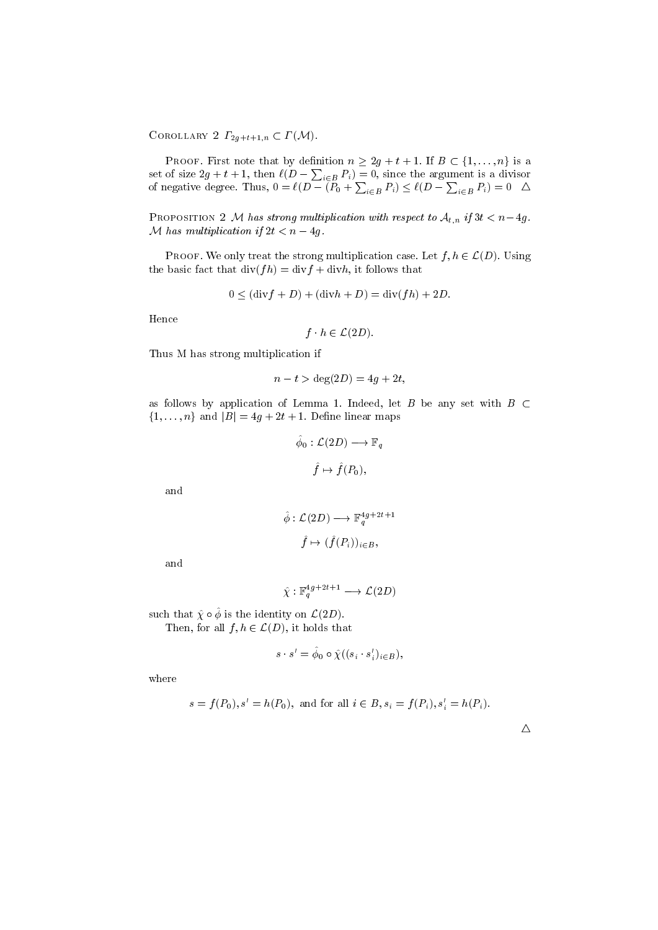COROLLARY 2  $\Gamma_{2g+t+1,n} \subset \Gamma(\mathcal{M})$ .

PROOF. First note that by definition  $n \geq 2g + t + 1$ . If  $B \subset \{1, \ldots, n\}$  is a set of size  $2g + t + 1$ , then  $\ell(D - \sum_{i \in B} P_i) = 0$ , since the argument is a divisor of negative degree. Thus,  $0 = \ell(D - (P_0 + \sum_{i \in B} P_i) \leq \ell(D - \sum_{i \in B} P_i) = 0$   $\Delta$ 

PROPOSITION 2 M has strong multiplication with respect to  $A_{t,n}$  if  $3t < n-4g$ .  $\mathcal M$  has multiplication if  $2t < n - 4g$ .

PROOF. We only treat the strong multiplication case. Let  $f, h \in \mathcal{L}(D)$ . Using the basic fact that  $div(fh) = div f + div h$ , it follows that

$$
0 \leq (\text{div}f + D) + (\text{div}h + D) = \text{div}(fh) + 2D.
$$

Hence

$$
f \cdot h \in \mathcal{L}(2D).
$$

Thus M has strong multiplication if

$$
n - t > \deg(2D) = 4g + 2t,
$$

as follows by application of Lemma 1. Indeed, let B be any set with  $B \subset$  $\{1, \ldots, n\}$  and  $|B| = 4g + 2t + 1$ . Define linear maps

$$
\hat{\phi}_0 : \mathcal{L}(2D) \longrightarrow \mathbb{F}_q
$$
  

$$
\hat{f} \mapsto \hat{f}(P_0),
$$

and

$$
\hat{\phi}: \mathcal{L}(2D) \longrightarrow \mathbb{F}_q^{4g+2t+1}
$$

$$
\hat{f} \mapsto (\hat{f}(P_i))_{i \in B},
$$

and

$$
\hat{\chi}: \mathbb{F}_q^{4g+2t+1} \longrightarrow \mathcal{L}(2D)
$$

such that  $\hat{\chi} \circ \hat{\phi}$  is the identity on  $\mathcal{L}(2D)$ .

Then, for all  $f, h \in \mathcal{L}(D)$ , it holds that

$$
s \cdot s' = \hat{\phi}_0 \circ \hat{\chi}((s_i \cdot s'_i)_{i \in B}),
$$

where

$$
s = f(P_0), s' = h(P_0)
$$
, and for all  $i \in B, s_i = f(P_i), s'_i = h(P_i)$ .

 $\triangle$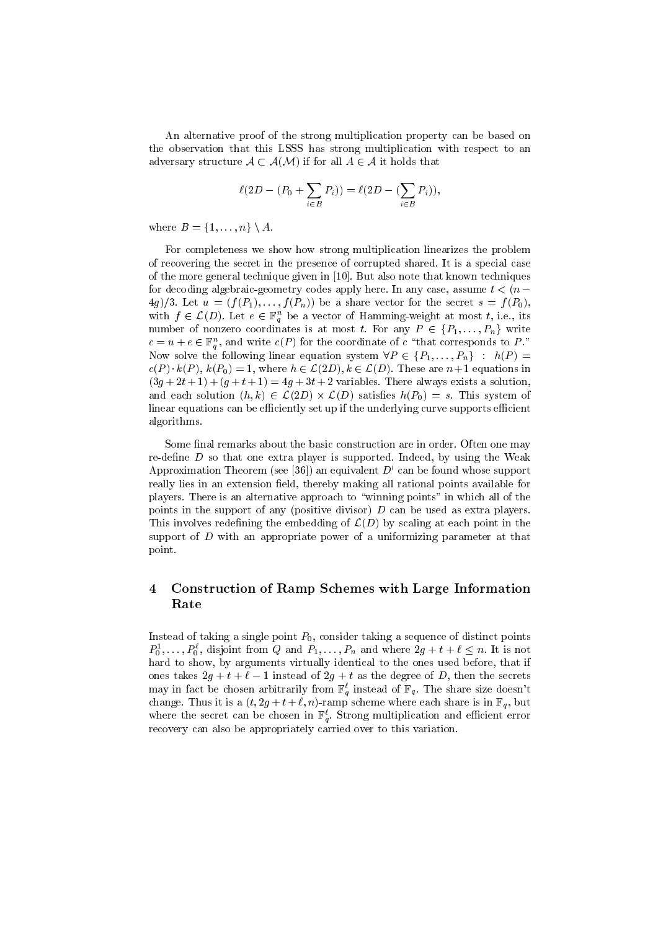An alternative proof of the strong multiplication property can be based on the observation that this LSSS has strong multiplication with respect to an adversary structure  $A \subset A(\mathcal{M})$  if for all  $A \in \mathcal{A}$  it holds that

$$
\ell(2D - (P_0 + \sum_{i \in B} P_i)) = \ell(2D - (\sum_{i \in B} P_i)),
$$

where  $B = \{1, \ldots, n\} \setminus A$ .

For completeness we show how strong multiplication linearizes the problem of recovering the secret in the presence of corrupted shared. It is a special case of the more general technique given in [10]. But also note that known techniques for decoding algebraic-geometry codes apply here. In any case, assume  $t < (n 4g/3$ . Let  $u = (f(P_1), \ldots, f(P_n))$  be a share vector for the secret  $s = f(P_0),$ with  $f \in \mathcal{L}(D)$ . Let  $e \in \mathbb{F}_q^n$  be a vector of Hamming-weight at most t, i.e., its number of nonzero coordinates is at most t. For any  $P \in \{P_1, \ldots, P_n\}$  write  $c = u + e \in \mathbb{F}_q^n$ , and write  $c(P)$  for the coordinate of c "that corresponds to P." Now solve the following linear equation system  $\forall P \in \{P_1, \ldots, P_n\} : h(P) =$  $c(P) \cdot k(P), k(P_0) = 1$ , where  $h \in \mathcal{L}(2D), k \in \mathcal{L}(D)$ . These are  $n+1$  equations in  $(3g+2t+1)+(g+t+1)=4g+3t+2$  variables. There always exists a solution, and each solution  $(h,k) \in \mathcal{L}(2D) \times \mathcal{L}(D)$  satisfies  $h(P_0) = s$ . This system of linear equations can be efficiently set up if the underlying curve supports efficient algorithms.

Some final remarks about the basic construction are in order. Often one may re-define  $D$  so that one extra player is supported. Indeed, by using the Weak Approximation Theorem (see [36]) an equivalent  $D'$  can be found whose support really lies in an extension field, thereby making all rational points available for players. There is an alternative approach to \winning points" in which all of the points in the support of any (positive divisor) D can be used as extra players. This involves redefining the embedding of  $\mathcal{L}(D)$  by scaling at each point in the support of  $D$  with an appropriate power of a uniformizing parameter at that point.

# 4 Construction of Ramp Schemes with Large Information Rate

Instead of taking a single point  $P_0$ , consider taking a sequence of distinct points  $P_0^1, \ldots, P_0^{\ell}$ , disjoint from Q and  $P_1, \ldots, P_n$  and where  $2g + t + \ell \leq n$ . It is not hard to show, by arguments virtually identical to the ones used before, that if ones takes  $2g + t + \ell - 1$  instead of  $2g + t$  as the degree of D, then the secrets may in fact be chosen arbitrarily from  $\mathbb{F}_q^{\ell}$  instead of  $\mathbb{F}_q$ . The share size doesn't change. Thus it is a  $(t, 2g + t + \ell, n)$ -ramp scheme where each share is in  $\mathbb{F}_q$ , but where the secret can be chosen in  $\mathbb{F}_q^{\ell}$ . Strong multiplication and efficient error recovery can also be appropriately carried over to this variation.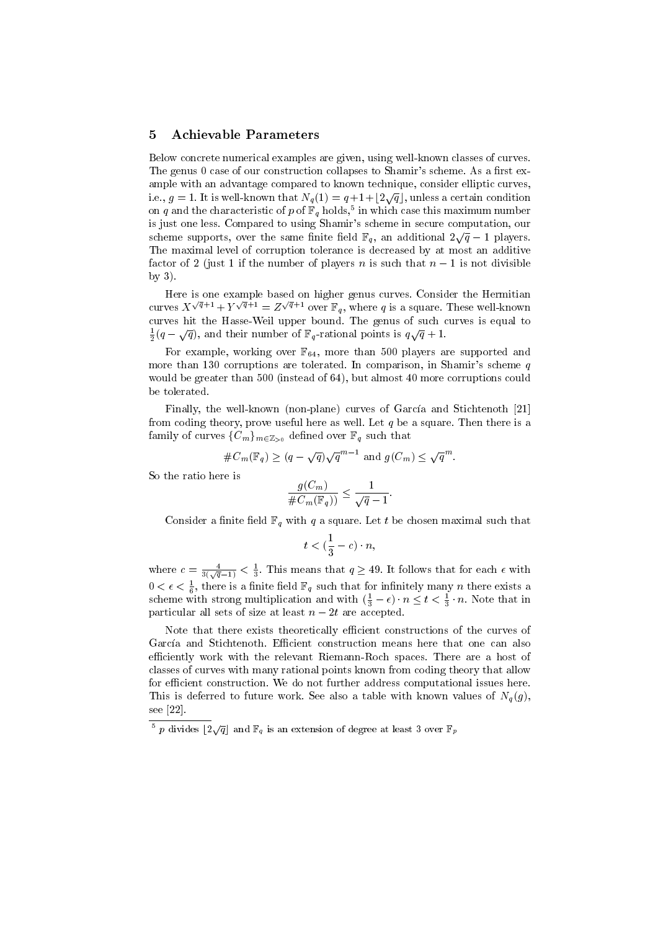## 5 Achievable Parameters

Below concrete numerical examples are given, using well-known classes of curves. The genus 0 case of our construction collapses to Shamir's scheme. As a first example with an advantage compared to known technique, consider elliptic curves, i.e.,  $g = 1$ . It is well-known that  $N_q(1) = q + 1 + \lfloor 2\sqrt{q} \rfloor$ , unless a certain condition on q and the characteristic of p of  $\mathbb{F}_q$  holds,<sup>5</sup> in which case this maximum number is just one less. Compared to using Shamir's scheme in secure computation, our scheme supports, over the same finite field  $\mathbb{F}_q$ , an additional  $2\sqrt{q} - 1$  players. The maximal level of corruption tolerance is decreased by at most an additive factor of 2 (just 1 if the number of players n is such that  $n-1$  is not divisible by 3).

Here is one example based on higher genus curves. Consider the Hermitian curves  $X^{\sqrt{q}+1} + Y^{\sqrt{q}+1} = Z^{\sqrt{q}+1}$  over  $\mathbb{F}_q$ , where q is a square. These well-known curves hit the Hasse-Weil upper bound. The genus of such curves is equal to  $\frac{1}{2}(q - \sqrt{q})$ , and their number of  $\mathbb{F}_q$ -rational points is  $q\sqrt{q} + 1$ .

For example, working over  $\mathbb{F}_{64}$ , more than 500 players are supported and more than 130 corruptions are tolerated. In comparison, in Shamir's scheme  $q$ would be greater than 500 (instead of 64), but almost 40 more corruptions could be tolerated.

Finally, the well-known (non-plane) curves of García and Stichtenoth [21] from coding theory, prove useful here as well. Let  $q$  be a square. Then there is a family of curves  $\{C_m\}_{m\in\mathbb{Z}_{\geq 0}}$  defined over  $\mathbb{F}_q$  such that

$$
\#C_m(\mathbb{F}_q) \ge (q - \sqrt{q})\sqrt{q}^{m-1} \text{ and } g(C_m) \le \sqrt{q}^m.
$$

So the ratio here is

$$
\frac{g(C_m)}{\#C_m(\mathbb{F}_q))} \le \frac{1}{\sqrt{q}-1}.
$$

Consider a finite field  $\mathbb{F}_q$  with q a square. Let t be chosen maximal such that

$$
t < (\frac{1}{3} - c) \cdot n,
$$

where  $c = \frac{4}{3(\sqrt{q}-1)} < \frac{1}{3}$ . This means that  $q \ge 49$ . It follows that for each  $\epsilon$  with  $0 < \epsilon < \frac{1}{6}$ , there is a finite field  $\mathbb{F}_q$  such that for infinitely many *n* there exists a scheme with strong multiplication and with  $(\frac{1}{3} - \epsilon) \cdot n \le t < \frac{1}{3} \cdot n$ . Note that in particular all sets of size at least  $n - 2t$  are accepted.

Note that there exists theoretically efficient constructions of the curves of García and Stichtenoth. Efficient construction means here that one can also efficiently work with the relevant Riemann-Roch spaces. There are a host of classes of curves with many rational points known from coding theory that allow for efficient construction. We do not further address computational issues here. This is deferred to future work. See also a table with known values of  $N_q(g)$ , see [22].

 $^5$   $p$  divides  $\lfloor 2\sqrt{q}\rfloor$  and  $\mathbb{F}_q$  is an extension of degree at least  $3$  over  $\mathbb{F}_p$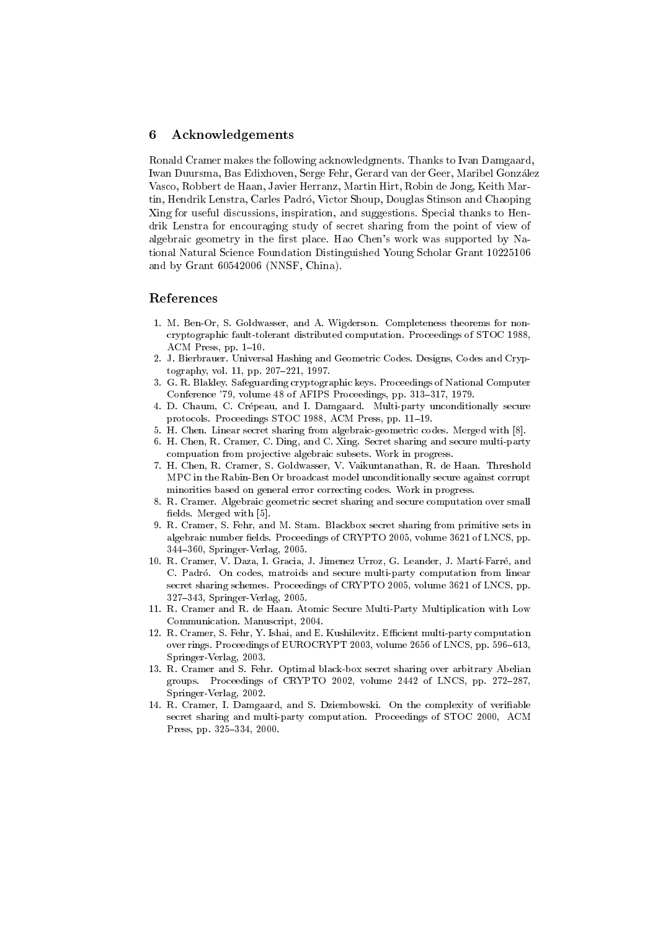### 6 Acknowledgements

Ronald Cramer makes the following acknowledgments. Thanks to Ivan Damgaard, Iwan Duursma, Bas Edixhoven, Serge Fehr, Gerard van der Geer, Maribel Gonzalez Vasco, Robbert de Haan, Javier Herranz, Martin Hirt, Robin de Jong, Keith Martin, Hendrik Lenstra, Carles Padró, Victor Shoup, Douglas Stinson and Chaoping Xing for useful discussions, inspiration, and suggestions. Special thanks to Hendrik Lenstra for encouraging study of secret sharing from the point of view of algebraic geometry in the first place. Hao Chen's work was supported by National Natural Science Foundation Distinguished Young Scholar Grant 10225106 and by Grant 60542006 (NNSF, China).

## References

- 1. M. Ben-Or, S. Goldwasser, and A. Wigderson. Completeness theorems for noncryptographic fault-tolerant distributed computation. Proceedings of STOC 1988, ACM Press, pp.  $1-10$ .
- 2. J. Bierbrauer. Universal Hashing and Geometric Codes. Designs, Codes and Cryptography, vol. 11, pp. 207-221, 1997.
- 3. G. R. Blakley. Safeguarding cryptographic keys. Proceedings of National Computer Conference '79, volume 48 of AFIPS Proceedings, pp. 313-317, 1979.
- 4. D. Chaum, C. Crepeau, and I. Damgaard. Multi-party unconditionally secure protocols. Proceedings STOC 1988, ACM Press, pp. 11-19.
- 5. H. Chen. Linear secret sharing from algebraic-geometric codes. Merged with [8].
- 6. H. Chen, R. Cramer, C. Ding, and C. Xing. Secret sharing and secure multi-party compuation from projective algebraic subsets. Work in progress.
- 7. H. Chen, R. Cramer, S. Goldwasser, V. Vaikuntanathan, R. de Haan. Threshold MPC in the Rabin-Ben Or broadcast model unconditionally secure against corrupt minorities based on general error correcting codes. Work in progress.
- 8. R. Cramer. Algebraic geometric secret sharing and secure computation over small fields. Merged with [5].
- 9. R. Cramer, S. Fehr, and M. Stam. Blackbox secret sharing from primitive sets in algebraic number fields. Proceedings of CRYPTO 2005, volume 3621 of LNCS, pp. 344-360, Springer-Verlag, 2005.
- 10. R. Cramer, V. Daza, I. Gracia, J. Jimenez Urroz, G. Leander, J. Mart-Farre, and C. Padró. On codes, matroids and secure multi-party computation from linear secret sharing schemes. Proceedings of CRYPTO 2005, volume 3621 of LNCS, pp. 327-343, Springer-Verlag, 2005.
- 11. R. Cramer and R. de Haan. Atomic Secure Multi-Party Multiplication with Low Communication. Manuscript, 2004.
- 12. R. Cramer, S. Fehr, Y. Ishai, and E. Kushilevitz. Efficient multi-party computation over rings. Proceedings of EUROCRYPT 2003, volume 2656 of LNCS, pp. 596-613, Springer-Verlag, 2003.
- 13. R. Cramer and S. Fehr. Optimal black-box secret sharing over arbitrary Abelian groups. Proceedings of CRYPTO 2002, volume 2442 of LNCS, pp. 272-287, Springer-Verlag, 2002.
- 14. R. Cramer, I. Damgaard, and S. Dziembowski. On the complexity of veriable secret sharing and multi-party computation. Proceedings of STOC 2000, ACM Press, pp. 325-334, 2000.